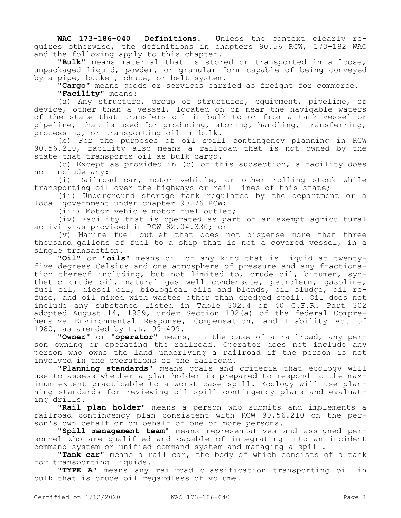**WAC 173-186-040 Definitions.** Unless the context clearly requires otherwise, the definitions in chapters 90.56 RCW, 173-182 WAC and the following apply to this chapter.

**"Bulk"** means material that is stored or transported in a loose, unpackaged liquid, powder, or granular form capable of being conveyed by a pipe, bucket, chute, or belt system.

**"Cargo"** means goods or services carried as freight for commerce. **"Facility"** means:

(a) Any structure, group of structures, equipment, pipeline, or device, other than a vessel, located on or near the navigable waters of the state that transfers oil in bulk to or from a tank vessel or pipeline, that is used for producing, storing, handling, transferring, processing, or transporting oil in bulk.

(b) For the purposes of oil spill contingency planning in RCW 90.56.210, facility also means a railroad that is not owned by the state that transports oil as bulk cargo.

(c) Except as provided in (b) of this subsection, a facility does not include any:

(i) Railroad car, motor vehicle, or other rolling stock while transporting oil over the highways or rail lines of this state;

(ii) Underground storage tank regulated by the department or a local government under chapter 90.76 RCW;

(iii) Motor vehicle motor fuel outlet;

(iv) Facility that is operated as part of an exempt agricultural activity as provided in RCW 82.04.330; or

(v) Marine fuel outlet that does not dispense more than three thousand gallons of fuel to a ship that is not a covered vessel, in a single transaction.

**"Oil"** or **"oils"** means oil of any kind that is liquid at twentyfive degrees Celsius and one atmosphere of pressure and any fractionation thereof including, but not limited to, crude oil, bitumen, synthetic crude oil, natural gas well condensate, petroleum, gasoline, fuel oil, diesel oil, biological oils and blends, oil sludge, oil refuse, and oil mixed with wastes other than dredged spoil. Oil does not include any substance listed in Table 302.4 of 40 C.F.R. Part 302 adopted August 14, 1989, under Section 102(a) of the federal Comprehensive Environmental Response, Compensation, and Liability Act of 1980, as amended by P.L. 99-499.

**"Owner"** or **"operator"** means, in the case of a railroad, any person owning or operating the railroad. Operator does not include any person who owns the land underlying a railroad if the person is not involved in the operations of the railroad.

**"Planning standards"** means goals and criteria that ecology will use to assess whether a plan holder is prepared to respond to the maximum extent practicable to a worst case spill. Ecology will use planning standards for reviewing oil spill contingency plans and evaluating drills.

**"Rail plan holder"** means a person who submits and implements a railroad contingency plan consistent with RCW 90.56.210 on the person's own behalf or on behalf of one or more persons.

**"Spill management team"** means representatives and assigned personnel who are qualified and capable of integrating into an incident command system or unified command system and managing a spill.

**"Tank car"** means a rail car, the body of which consists of a tank for transporting liquids.

**"TYPE A"** means any railroad classification transporting oil in bulk that is crude oil regardless of volume.